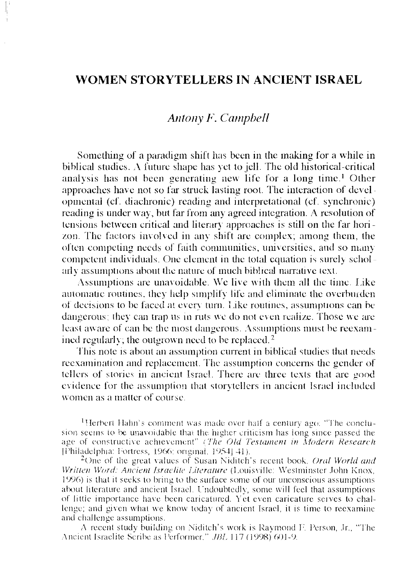## WOMEN STORYTELLERS IN ANCIENT ISRAEL

## Antony F. Campbell

Something of a paradigm shift has been in the making for a while in biblical studies. A future shape has yet to jell. The old historical-critical analysis has not been generating new life for a long time.<sup>1</sup> Other approaches have not so far struck lasting root. The interaction of developmental (cf. diachronic) reading and interpretational (cf. synchronic) reading is under way, but far from any agreed integration. A resolution of tensions between critical and literary approaches is still on the far horizon. The factors involved in any shift are complex; among them, the often competing needs of faith communities, universities, and so many competent individuals. One element in the total equation is surely scholarly assumptions about the nature of much biblical narrative text.

Assumptions are unavoidable. We live with them all the time. Like automatic routines, they help simplify life and eliminate the overburden of decisions to be faced at every turn. Like routines, assumptions can be dangerous; they can trap us in ruts we do not even realize. Those we are least aware of can be the most dangerous. Assumptions must be reexamined regularly; the outgrown need to be replaced.<sup>2</sup>

This note is about an assumption current in biblical studies that needs reexamination and replacement. The assumption concerns the gender of tellers of stories in ancient Israel. There are three texts that are good evidence for the assumption that storytellers in ancient Israel included women as a matter of course.

<sup>1</sup>Herbert Hahn's comment was made over half a century ago. "The conclusion seems to be unavoidable that the higher criticism has long since passed the age of constructive achievement" (The Old Testament in Modern Research [Philadelphia: Fortress, 1966; original, 1954] 41).

<sup>2</sup>One of the great values of Susan Niditch's recent book, *Oral World and* Written Word: Ancient Israelite Literature (Louisville: Westminster John Knox, 1996) is that it seeks to bring to the surface some of our unconscious assumptions about literature and ancient Israel. Undoubtedly, some will feel that assumptions of little importance have been caricatured. Yet even caricature serves to challenge; and given what we know today of ancient Israel, it is time to reexamine and challenge assumptions.

A recent study building on Niditch's work is Raymond F. Person, Jr., "The Ancient Israelite Scribe as Performer," JBL 117 (1998) 601-9.